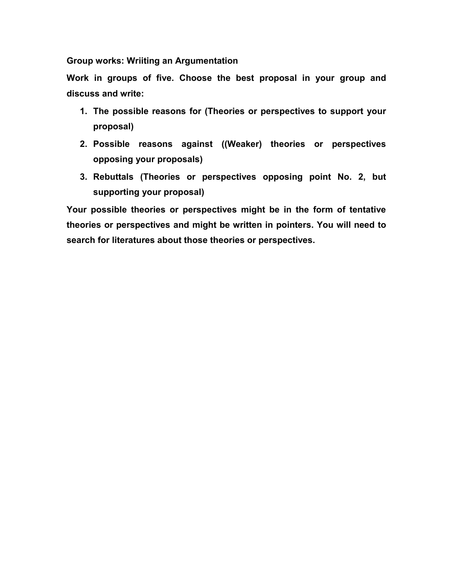Group works: Wriiting an Argumentation

Work in groups of five. Choose the best proposal in your group and discuss and write:

- 1. The possible reasons for (Theories or perspectives to support your proposal)
- 2. Possible reasons against ((Weaker) theories or perspectives opposing your proposals)
- 3. Rebuttals (Theories or perspectives opposing point No. 2, but supporting your proposal)

Your possible theories or perspectives might be in the form of tentative theories or perspectives and might be written in pointers. You will need to search for literatures about those theories or perspectives.